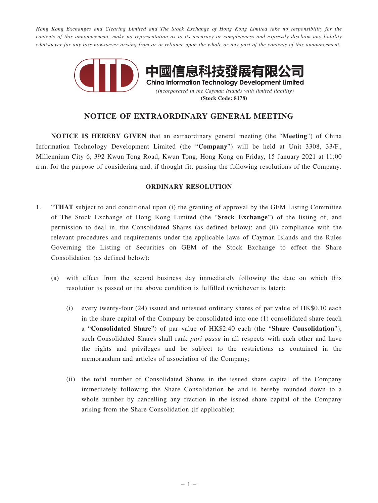*Hong Kong Exchanges and Clearing Limited and The Stock Exchange of Hong Kong Limited take no responsibility for the contents of this announcement, make no representation as to its accuracy or completeness and expressly disclaim any liability whatsoever for any loss howsoever arising from or in reliance upon the whole or any part of the contents of this announcement.*



## **NOTICE OF EXTRAORDINARY GENERAL MEETING**

**NOTICE IS HEREBY GIVEN** that an extraordinary general meeting (the "**Meeting**") of China Information Technology Development Limited (the "**Company**") will be held at Unit 3308, 33/F., Millennium City 6, 392 Kwun Tong Road, Kwun Tong, Hong Kong on Friday, 15 January 2021 at 11:00 a.m. for the purpose of considering and, if thought fit, passing the following resolutions of the Company:

## **ORDINARY RESOLUTION**

- 1. "**THAT** subject to and conditional upon (i) the granting of approval by the GEM Listing Committee of The Stock Exchange of Hong Kong Limited (the "**Stock Exchange**") of the listing of, and permission to deal in, the Consolidated Shares (as defined below); and (ii) compliance with the relevant procedures and requirements under the applicable laws of Cayman Islands and the Rules Governing the Listing of Securities on GEM of the Stock Exchange to effect the Share Consolidation (as defined below):
	- (a) with effect from the second business day immediately following the date on which this resolution is passed or the above condition is fulfilled (whichever is later):
		- (i) every twenty-four (24) issued and unissued ordinary shares of par value of HK\$0.10 each in the share capital of the Company be consolidated into one (1) consolidated share (each a "**Consolidated Share**") of par value of HK\$2.40 each (the "**Share Consolidation**"), such Consolidated Shares shall rank *pari passu* in all respects with each other and have the rights and privileges and be subject to the restrictions as contained in the memorandum and articles of association of the Company;
		- (ii) the total number of Consolidated Shares in the issued share capital of the Company immediately following the Share Consolidation be and is hereby rounded down to a whole number by cancelling any fraction in the issued share capital of the Company arising from the Share Consolidation (if applicable);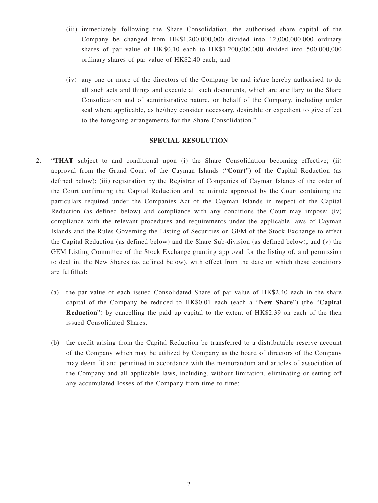- (iii) immediately following the Share Consolidation, the authorised share capital of the Company be changed from HK\$1,200,000,000 divided into 12,000,000,000 ordinary shares of par value of HK\$0.10 each to HK\$1,200,000,000 divided into 500,000,000 ordinary shares of par value of HK\$2.40 each; and
- (iv) any one or more of the directors of the Company be and is/are hereby authorised to do all such acts and things and execute all such documents, which are ancillary to the Share Consolidation and of administrative nature, on behalf of the Company, including under seal where applicable, as he/they consider necessary, desirable or expedient to give effect to the foregoing arrangements for the Share Consolidation."

## **SPECIAL RESOLUTION**

- 2. "**THAT** subject to and conditional upon (i) the Share Consolidation becoming effective; (ii) approval from the Grand Court of the Cayman Islands ("**Court**") of the Capital Reduction (as defined below); (iii) registration by the Registrar of Companies of Cayman Islands of the order of the Court confirming the Capital Reduction and the minute approved by the Court containing the particulars required under the Companies Act of the Cayman Islands in respect of the Capital Reduction (as defined below) and compliance with any conditions the Court may impose; (iv) compliance with the relevant procedures and requirements under the applicable laws of Cayman Islands and the Rules Governing the Listing of Securities on GEM of the Stock Exchange to effect the Capital Reduction (as defined below) and the Share Sub-division (as defined below); and (v) the GEM Listing Committee of the Stock Exchange granting approval for the listing of, and permission to deal in, the New Shares (as defined below), with effect from the date on which these conditions are fulfilled:
	- (a) the par value of each issued Consolidated Share of par value of HK\$2.40 each in the share capital of the Company be reduced to HK\$0.01 each (each a "**New Share**") (the "**Capital Reduction**") by cancelling the paid up capital to the extent of HK\$2.39 on each of the then issued Consolidated Shares;
	- (b) the credit arising from the Capital Reduction be transferred to a distributable reserve account of the Company which may be utilized by Company as the board of directors of the Company may deem fit and permitted in accordance with the memorandum and articles of association of the Company and all applicable laws, including, without limitation, eliminating or setting off any accumulated losses of the Company from time to time;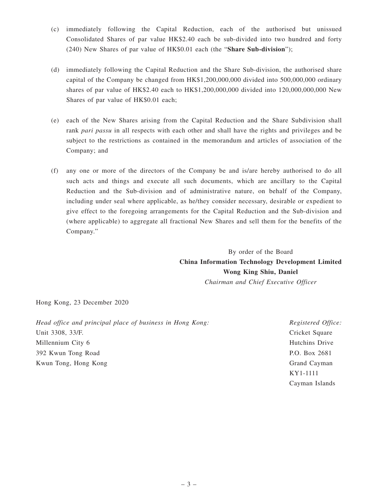- (c) immediately following the Capital Reduction, each of the authorised but unissued Consolidated Shares of par value HK\$2.40 each be sub-divided into two hundred and forty (240) New Shares of par value of HK\$0.01 each (the "**Share Sub-division**");
- (d) immediately following the Capital Reduction and the Share Sub-division, the authorised share capital of the Company be changed from HK\$1,200,000,000 divided into 500,000,000 ordinary shares of par value of HK\$2.40 each to HK\$1,200,000,000 divided into 120,000,000,000 New Shares of par value of HK\$0.01 each;
- (e) each of the New Shares arising from the Capital Reduction and the Share Subdivision shall rank *pari passu* in all respects with each other and shall have the rights and privileges and be subject to the restrictions as contained in the memorandum and articles of association of the Company; and
- (f) any one or more of the directors of the Company be and is/are hereby authorised to do all such acts and things and execute all such documents, which are ancillary to the Capital Reduction and the Sub-division and of administrative nature, on behalf of the Company, including under seal where applicable, as he/they consider necessary, desirable or expedient to give effect to the foregoing arrangements for the Capital Reduction and the Sub-division and (where applicable) to aggregate all fractional New Shares and sell them for the benefits of the Company."

By order of the Board **China Information Technology Development Limited Wong King Shiu, Daniel** *Chairman and Chief Executive Officer*

Hong Kong, 23 December 2020

*Head office and principal place of business in Hong Kong:* Unit 3308, 33/F. Millennium City 6 392 Kwun Tong Road Kwun Tong, Hong Kong

*Registered Office:* Cricket Square Hutchins Drive P.O. Box 2681 Grand Cayman KY1-1111 Cayman Islands